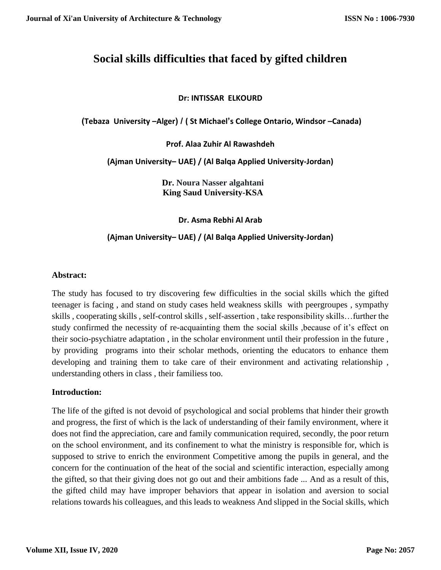# **Social skills difficulties that faced by gifted children**

# **Dr: INTISSAR ELKOURD**

 **)Tebaza University –Alger( / ( St Michael's College Ontario, Windsor –Canada)**

**Prof. Alaa Zuhir Al Rawashdeh**

**(Ajman University– UAE) / (Al Balqa Applied University-Jordan)**

**Dr. Noura Nasser algahtani King Saud University-KSA**

**Dr. Asma Rebhi Al Arab**

# **(Ajman University– UAE) / (Al Balqa Applied University-Jordan)**

# **Abstract:**

The study has focused to try discovering few difficulties in the social skills which the gifted teenager is facing , and stand on study cases held weakness skills with peergroupes , sympathy skills , cooperating skills , self-control skills , self-assertion , take responsibility skills…further the study confirmed the necessity of re-acquainting them the social skills ,because of it's effect on their socio-psychiatre adaptation , in the scholar environment until their profession in the future , by providing programs into their scholar methods, orienting the educators to enhance them developing and training them to take care of their environment and activating relationship , understanding others in class , their familiess too.

#### **Introduction:**

The life of the gifted is not devoid of psychological and social problems that hinder their growth and progress, the first of which is the lack of understanding of their family environment, where it does not find the appreciation, care and family communication required, secondly, the poor return on the school environment, and its confinement to what the ministry is responsible for, which is supposed to strive to enrich the environment Competitive among the pupils in general, and the concern for the continuation of the heat of the social and scientific interaction, especially among the gifted, so that their giving does not go out and their ambitions fade ... And as a result of this, the gifted child may have improper behaviors that appear in isolation and aversion to social relations towards his colleagues, and this leads to weakness And slipped in the Social skills, which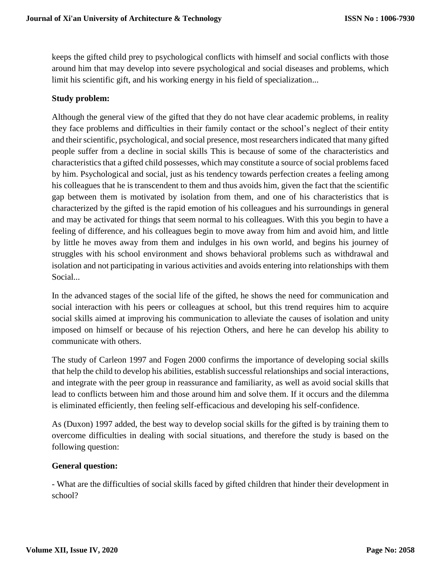keeps the gifted child prey to psychological conflicts with himself and social conflicts with those around him that may develop into severe psychological and social diseases and problems, which limit his scientific gift, and his working energy in his field of specialization...

# **Study problem:**

Although the general view of the gifted that they do not have clear academic problems, in reality they face problems and difficulties in their family contact or the school's neglect of their entity and their scientific, psychological, and social presence, most researchers indicated that many gifted people suffer from a decline in social skills This is because of some of the characteristics and characteristics that a gifted child possesses, which may constitute a source of social problems faced by him. Psychological and social, just as his tendency towards perfection creates a feeling among his colleagues that he is transcendent to them and thus avoids him, given the fact that the scientific gap between them is motivated by isolation from them, and one of his characteristics that is characterized by the gifted is the rapid emotion of his colleagues and his surroundings in general and may be activated for things that seem normal to his colleagues. With this you begin to have a feeling of difference, and his colleagues begin to move away from him and avoid him, and little by little he moves away from them and indulges in his own world, and begins his journey of struggles with his school environment and shows behavioral problems such as withdrawal and isolation and not participating in various activities and avoids entering into relationships with them Social...

In the advanced stages of the social life of the gifted, he shows the need for communication and social interaction with his peers or colleagues at school, but this trend requires him to acquire social skills aimed at improving his communication to alleviate the causes of isolation and unity imposed on himself or because of his rejection Others, and here he can develop his ability to communicate with others.

The study of Carleon 1997 and Fogen 2000 confirms the importance of developing social skills that help the child to develop his abilities, establish successful relationships and social interactions, and integrate with the peer group in reassurance and familiarity, as well as avoid social skills that lead to conflicts between him and those around him and solve them. If it occurs and the dilemma is eliminated efficiently, then feeling self-efficacious and developing his self-confidence.

As (Duxon) 1997 added, the best way to develop social skills for the gifted is by training them to overcome difficulties in dealing with social situations, and therefore the study is based on the following question:

#### **General question:**

- What are the difficulties of social skills faced by gifted children that hinder their development in school?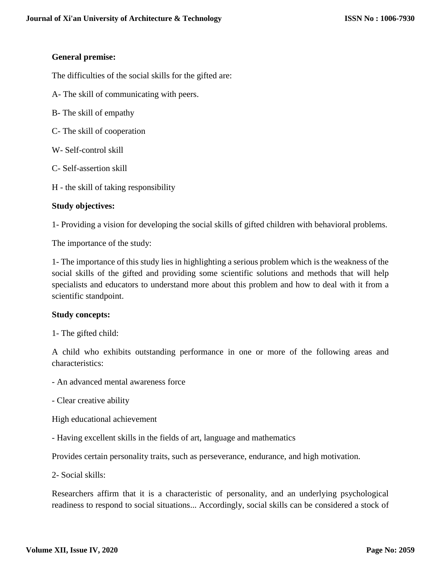#### **General premise:**

The difficulties of the social skills for the gifted are:

- A- The skill of communicating with peers.
- B- The skill of empathy
- C- The skill of cooperation
- W- Self-control skill
- C- Self-assertion skill
- H the skill of taking responsibility

#### **Study objectives:**

1- Providing a vision for developing the social skills of gifted children with behavioral problems.

The importance of the study:

1- The importance of this study lies in highlighting a serious problem which is the weakness of the social skills of the gifted and providing some scientific solutions and methods that will help specialists and educators to understand more about this problem and how to deal with it from a scientific standpoint.

#### **Study concepts:**

1- The gifted child:

A child who exhibits outstanding performance in one or more of the following areas and characteristics:

- An advanced mental awareness force
- Clear creative ability

High educational achievement

- Having excellent skills in the fields of art, language and mathematics

Provides certain personality traits, such as perseverance, endurance, and high motivation.

2- Social skills:

Researchers affirm that it is a characteristic of personality, and an underlying psychological readiness to respond to social situations... Accordingly, social skills can be considered a stock of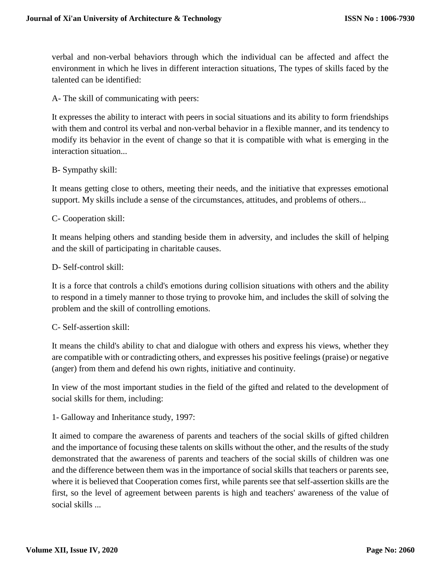verbal and non-verbal behaviors through which the individual can be affected and affect the environment in which he lives in different interaction situations, The types of skills faced by the talented can be identified:

A- The skill of communicating with peers:

It expresses the ability to interact with peers in social situations and its ability to form friendships with them and control its verbal and non-verbal behavior in a flexible manner, and its tendency to modify its behavior in the event of change so that it is compatible with what is emerging in the interaction situation...

#### B- Sympathy skill:

It means getting close to others, meeting their needs, and the initiative that expresses emotional support. My skills include a sense of the circumstances, attitudes, and problems of others...

#### C- Cooperation skill:

It means helping others and standing beside them in adversity, and includes the skill of helping and the skill of participating in charitable causes.

#### D- Self-control skill:

It is a force that controls a child's emotions during collision situations with others and the ability to respond in a timely manner to those trying to provoke him, and includes the skill of solving the problem and the skill of controlling emotions.

#### C- Self-assertion skill:

It means the child's ability to chat and dialogue with others and express his views, whether they are compatible with or contradicting others, and expresses his positive feelings (praise) or negative (anger) from them and defend his own rights, initiative and continuity.

In view of the most important studies in the field of the gifted and related to the development of social skills for them, including:

1- Galloway and Inheritance study, 1997:

It aimed to compare the awareness of parents and teachers of the social skills of gifted children and the importance of focusing these talents on skills without the other, and the results of the study demonstrated that the awareness of parents and teachers of the social skills of children was one and the difference between them was in the importance of social skills that teachers or parents see, where it is believed that Cooperation comes first, while parents see that self-assertion skills are the first, so the level of agreement between parents is high and teachers' awareness of the value of social skills ...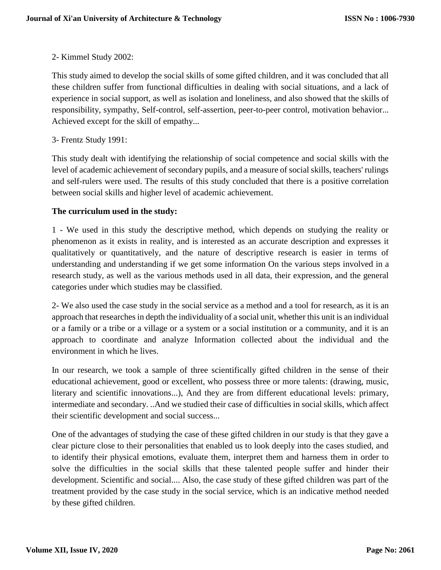# 2- Kimmel Study 2002:

This study aimed to develop the social skills of some gifted children, and it was concluded that all these children suffer from functional difficulties in dealing with social situations, and a lack of experience in social support, as well as isolation and loneliness, and also showed that the skills of responsibility, sympathy, Self-control, self-assertion, peer-to-peer control, motivation behavior... Achieved except for the skill of empathy...

# 3- Frentz Study 1991:

This study dealt with identifying the relationship of social competence and social skills with the level of academic achievement of secondary pupils, and a measure of social skills, teachers' rulings and self-rulers were used. The results of this study concluded that there is a positive correlation between social skills and higher level of academic achievement.

# **The curriculum used in the study:**

1 - We used in this study the descriptive method, which depends on studying the reality or phenomenon as it exists in reality, and is interested as an accurate description and expresses it qualitatively or quantitatively, and the nature of descriptive research is easier in terms of understanding and understanding if we get some information On the various steps involved in a research study, as well as the various methods used in all data, their expression, and the general categories under which studies may be classified.

2- We also used the case study in the social service as a method and a tool for research, as it is an approach that researches in depth the individuality of a social unit, whether this unit is an individual or a family or a tribe or a village or a system or a social institution or a community, and it is an approach to coordinate and analyze Information collected about the individual and the environment in which he lives.

In our research, we took a sample of three scientifically gifted children in the sense of their educational achievement, good or excellent, who possess three or more talents: (drawing, music, literary and scientific innovations...), And they are from different educational levels: primary, intermediate and secondary. ..And we studied their case of difficulties in social skills, which affect their scientific development and social success...

One of the advantages of studying the case of these gifted children in our study is that they gave a clear picture close to their personalities that enabled us to look deeply into the cases studied, and to identify their physical emotions, evaluate them, interpret them and harness them in order to solve the difficulties in the social skills that these talented people suffer and hinder their development. Scientific and social.... Also, the case study of these gifted children was part of the treatment provided by the case study in the social service, which is an indicative method needed by these gifted children.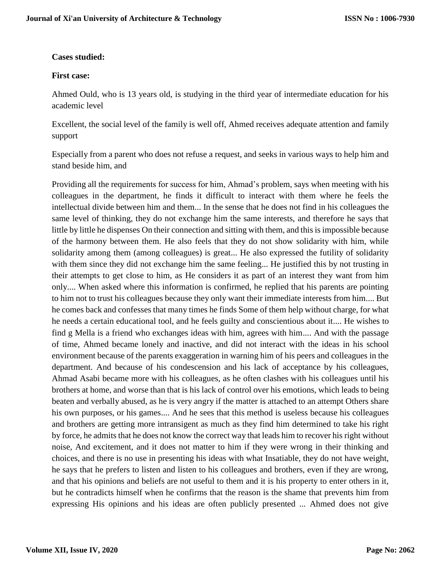# **Cases studied:**

### **First case:**

Ahmed Ould, who is 13 years old, is studying in the third year of intermediate education for his academic level

Excellent, the social level of the family is well off, Ahmed receives adequate attention and family support

Especially from a parent who does not refuse a request, and seeks in various ways to help him and stand beside him, and

Providing all the requirements for success for him, Ahmad's problem, says when meeting with his colleagues in the department, he finds it difficult to interact with them where he feels the intellectual divide between him and them... In the sense that he does not find in his colleagues the same level of thinking, they do not exchange him the same interests, and therefore he says that little by little he dispenses On their connection and sitting with them, and this is impossible because of the harmony between them. He also feels that they do not show solidarity with him, while solidarity among them (among colleagues) is great... He also expressed the futility of solidarity with them since they did not exchange him the same feeling... He justified this by not trusting in their attempts to get close to him, as He considers it as part of an interest they want from him only.... When asked where this information is confirmed, he replied that his parents are pointing to him not to trust his colleagues because they only want their immediate interests from him.... But he comes back and confesses that many times he finds Some of them help without charge, for what he needs a certain educational tool, and he feels guilty and conscientious about it.... He wishes to find g Mella is a friend who exchanges ideas with him, agrees with him.... And with the passage of time, Ahmed became lonely and inactive, and did not interact with the ideas in his school environment because of the parents exaggeration in warning him of his peers and colleagues in the department. And because of his condescension and his lack of acceptance by his colleagues, Ahmad Asabi became more with his colleagues, as he often clashes with his colleagues until his brothers at home, and worse than that is his lack of control over his emotions, which leads to being beaten and verbally abused, as he is very angry if the matter is attached to an attempt Others share his own purposes, or his games.... And he sees that this method is useless because his colleagues and brothers are getting more intransigent as much as they find him determined to take his right by force, he admits that he does not know the correct way that leads him to recover his right without noise, And excitement, and it does not matter to him if they were wrong in their thinking and choices, and there is no use in presenting his ideas with what Insatiable, they do not have weight, he says that he prefers to listen and listen to his colleagues and brothers, even if they are wrong, and that his opinions and beliefs are not useful to them and it is his property to enter others in it, but he contradicts himself when he confirms that the reason is the shame that prevents him from expressing His opinions and his ideas are often publicly presented ... Ahmed does not give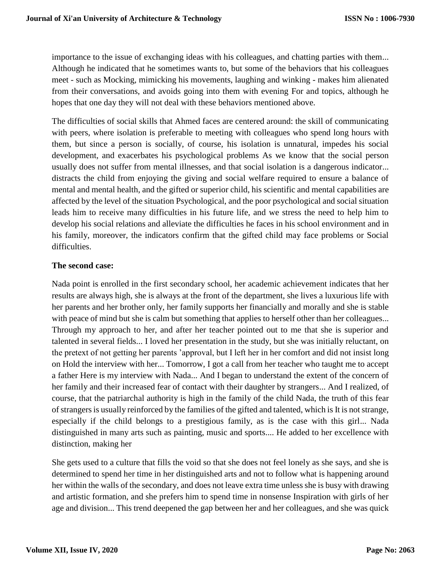importance to the issue of exchanging ideas with his colleagues, and chatting parties with them... Although he indicated that he sometimes wants to, but some of the behaviors that his colleagues meet - such as Mocking, mimicking his movements, laughing and winking - makes him alienated from their conversations, and avoids going into them with evening For and topics, although he hopes that one day they will not deal with these behaviors mentioned above.

The difficulties of social skills that Ahmed faces are centered around: the skill of communicating with peers, where isolation is preferable to meeting with colleagues who spend long hours with them, but since a person is socially, of course, his isolation is unnatural, impedes his social development, and exacerbates his psychological problems As we know that the social person usually does not suffer from mental illnesses, and that social isolation is a dangerous indicator... distracts the child from enjoying the giving and social welfare required to ensure a balance of mental and mental health, and the gifted or superior child, his scientific and mental capabilities are affected by the level of the situation Psychological, and the poor psychological and social situation leads him to receive many difficulties in his future life, and we stress the need to help him to develop his social relations and alleviate the difficulties he faces in his school environment and in his family, moreover, the indicators confirm that the gifted child may face problems or Social difficulties.

# **The second case:**

Nada point is enrolled in the first secondary school, her academic achievement indicates that her results are always high, she is always at the front of the department, she lives a luxurious life with her parents and her brother only, her family supports her financially and morally and she is stable with peace of mind but she is calm but something that applies to herself other than her colleagues... Through my approach to her, and after her teacher pointed out to me that she is superior and talented in several fields... I loved her presentation in the study, but she was initially reluctant, on the pretext of not getting her parents 'approval, but I left her in her comfort and did not insist long on Hold the interview with her... Tomorrow, I got a call from her teacher who taught me to accept a father Here is my interview with Nada... And I began to understand the extent of the concern of her family and their increased fear of contact with their daughter by strangers... And I realized, of course, that the patriarchal authority is high in the family of the child Nada, the truth of this fear of strangers is usually reinforced by the families of the gifted and talented, which is It is not strange, especially if the child belongs to a prestigious family, as is the case with this girl... Nada distinguished in many arts such as painting, music and sports.... He added to her excellence with distinction, making her

She gets used to a culture that fills the void so that she does not feel lonely as she says, and she is determined to spend her time in her distinguished arts and not to follow what is happening around her within the walls of the secondary, and does not leave extra time unless she is busy with drawing and artistic formation, and she prefers him to spend time in nonsense Inspiration with girls of her age and division... This trend deepened the gap between her and her colleagues, and she was quick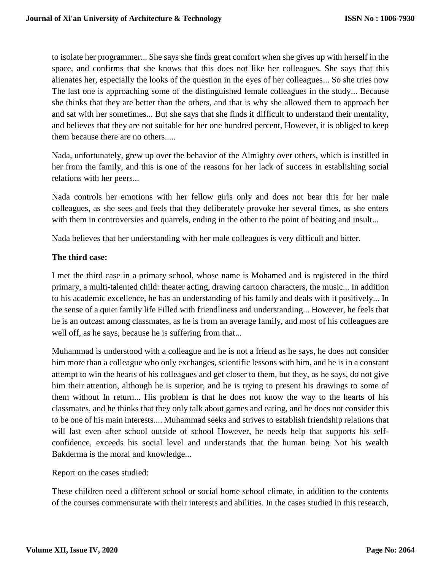to isolate her programmer... She says she finds great comfort when she gives up with herself in the space, and confirms that she knows that this does not like her colleagues. She says that this alienates her, especially the looks of the question in the eyes of her colleagues... So she tries now The last one is approaching some of the distinguished female colleagues in the study... Because she thinks that they are better than the others, and that is why she allowed them to approach her and sat with her sometimes... But she says that she finds it difficult to understand their mentality, and believes that they are not suitable for her one hundred percent, However, it is obliged to keep them because there are no others.....

Nada, unfortunately, grew up over the behavior of the Almighty over others, which is instilled in her from the family, and this is one of the reasons for her lack of success in establishing social relations with her peers...

Nada controls her emotions with her fellow girls only and does not bear this for her male colleagues, as she sees and feels that they deliberately provoke her several times, as she enters with them in controversies and quarrels, ending in the other to the point of beating and insult...

Nada believes that her understanding with her male colleagues is very difficult and bitter.

# **The third case:**

I met the third case in a primary school, whose name is Mohamed and is registered in the third primary, a multi-talented child: theater acting, drawing cartoon characters, the music... In addition to his academic excellence, he has an understanding of his family and deals with it positively... In the sense of a quiet family life Filled with friendliness and understanding... However, he feels that he is an outcast among classmates, as he is from an average family, and most of his colleagues are well off, as he says, because he is suffering from that...

Muhammad is understood with a colleague and he is not a friend as he says, he does not consider him more than a colleague who only exchanges, scientific lessons with him, and he is in a constant attempt to win the hearts of his colleagues and get closer to them, but they, as he says, do not give him their attention, although he is superior, and he is trying to present his drawings to some of them without In return... His problem is that he does not know the way to the hearts of his classmates, and he thinks that they only talk about games and eating, and he does not consider this to be one of his main interests.... Muhammad seeks and strives to establish friendship relations that will last even after school outside of school However, he needs help that supports his selfconfidence, exceeds his social level and understands that the human being Not his wealth Bakderma is the moral and knowledge...

Report on the cases studied:

These children need a different school or social home school climate, in addition to the contents of the courses commensurate with their interests and abilities. In the cases studied in this research,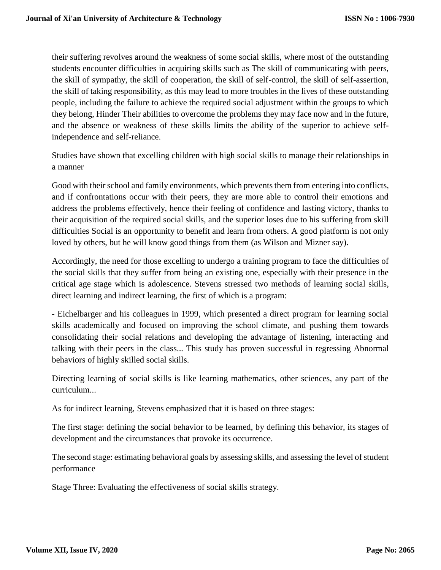their suffering revolves around the weakness of some social skills, where most of the outstanding students encounter difficulties in acquiring skills such as The skill of communicating with peers, the skill of sympathy, the skill of cooperation, the skill of self-control, the skill of self-assertion, the skill of taking responsibility, as this may lead to more troubles in the lives of these outstanding people, including the failure to achieve the required social adjustment within the groups to which they belong, Hinder Their abilities to overcome the problems they may face now and in the future, and the absence or weakness of these skills limits the ability of the superior to achieve selfindependence and self-reliance.

Studies have shown that excelling children with high social skills to manage their relationships in a manner

Good with their school and family environments, which prevents them from entering into conflicts, and if confrontations occur with their peers, they are more able to control their emotions and address the problems effectively, hence their feeling of confidence and lasting victory, thanks to their acquisition of the required social skills, and the superior loses due to his suffering from skill difficulties Social is an opportunity to benefit and learn from others. A good platform is not only loved by others, but he will know good things from them (as Wilson and Mizner say).

Accordingly, the need for those excelling to undergo a training program to face the difficulties of the social skills that they suffer from being an existing one, especially with their presence in the critical age stage which is adolescence. Stevens stressed two methods of learning social skills, direct learning and indirect learning, the first of which is a program:

- Eichelbarger and his colleagues in 1999, which presented a direct program for learning social skills academically and focused on improving the school climate, and pushing them towards consolidating their social relations and developing the advantage of listening, interacting and talking with their peers in the class... This study has proven successful in regressing Abnormal behaviors of highly skilled social skills.

Directing learning of social skills is like learning mathematics, other sciences, any part of the curriculum...

As for indirect learning, Stevens emphasized that it is based on three stages:

The first stage: defining the social behavior to be learned, by defining this behavior, its stages of development and the circumstances that provoke its occurrence.

The second stage: estimating behavioral goals by assessing skills, and assessing the level of student performance

Stage Three: Evaluating the effectiveness of social skills strategy.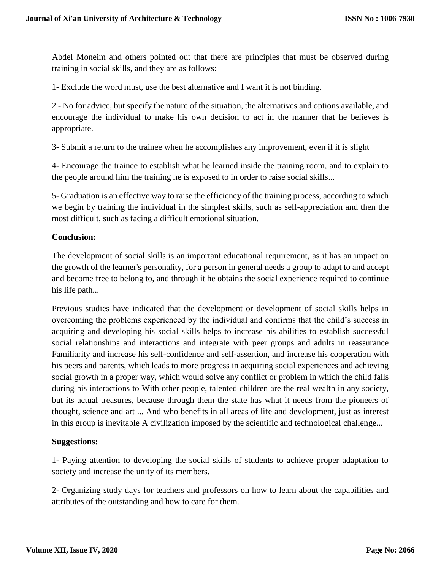Abdel Moneim and others pointed out that there are principles that must be observed during training in social skills, and they are as follows:

1- Exclude the word must, use the best alternative and I want it is not binding.

2 - No for advice, but specify the nature of the situation, the alternatives and options available, and encourage the individual to make his own decision to act in the manner that he believes is appropriate.

3- Submit a return to the trainee when he accomplishes any improvement, even if it is slight

4- Encourage the trainee to establish what he learned inside the training room, and to explain to the people around him the training he is exposed to in order to raise social skills...

5- Graduation is an effective way to raise the efficiency of the training process, according to which we begin by training the individual in the simplest skills, such as self-appreciation and then the most difficult, such as facing a difficult emotional situation.

# **Conclusion:**

The development of social skills is an important educational requirement, as it has an impact on the growth of the learner's personality, for a person in general needs a group to adapt to and accept and become free to belong to, and through it he obtains the social experience required to continue his life path...

Previous studies have indicated that the development or development of social skills helps in overcoming the problems experienced by the individual and confirms that the child's success in acquiring and developing his social skills helps to increase his abilities to establish successful social relationships and interactions and integrate with peer groups and adults in reassurance Familiarity and increase his self-confidence and self-assertion, and increase his cooperation with his peers and parents, which leads to more progress in acquiring social experiences and achieving social growth in a proper way, which would solve any conflict or problem in which the child falls during his interactions to With other people, talented children are the real wealth in any society, but its actual treasures, because through them the state has what it needs from the pioneers of thought, science and art ... And who benefits in all areas of life and development, just as interest in this group is inevitable A civilization imposed by the scientific and technological challenge...

#### **Suggestions:**

1- Paying attention to developing the social skills of students to achieve proper adaptation to society and increase the unity of its members.

2- Organizing study days for teachers and professors on how to learn about the capabilities and attributes of the outstanding and how to care for them.